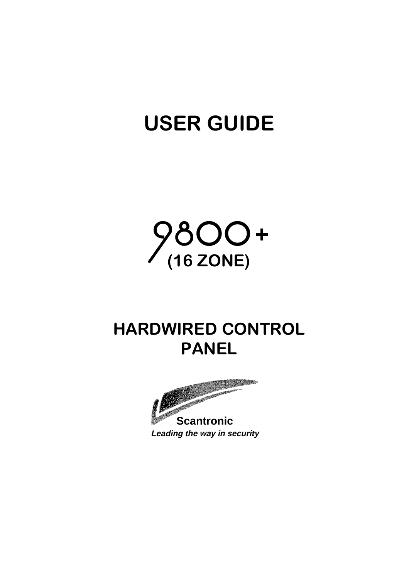# USER GUIDE



## HARDWIRED CONTROL PANEL



**Leading the way in security**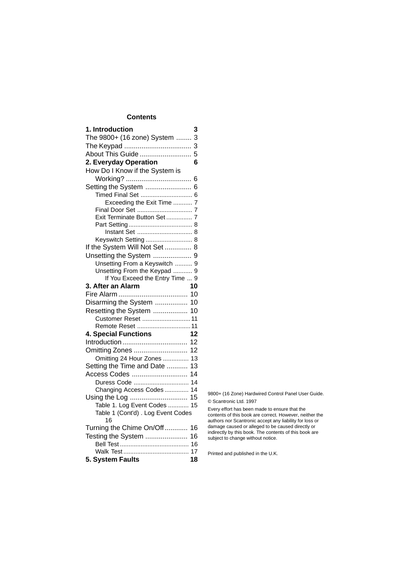## **Contents**

| 1. Introduction                          | 3  |
|------------------------------------------|----|
| The 9800+ (16 zone) System  3            |    |
|                                          |    |
| About This Guide 5                       |    |
| 2. Everyday Operation                    | 6  |
| How Do I Know if the System is           |    |
|                                          | 6  |
| Setting the System                       | 6  |
|                                          |    |
| Exceeding the Exit Time  7               |    |
| Exit Terminate Button Set 7              |    |
|                                          |    |
|                                          |    |
| Keyswitch Setting  8                     |    |
| If the System Will Not Set  8            |    |
| Unsetting the System  9                  |    |
| Unsetting From a Keyswitch  9            |    |
| Unsetting From the Keypad  9             |    |
| If You Exceed the Entry Time  9          |    |
| 3. After an Alarm                        | 10 |
|                                          |    |
| Disarming the System  10                 |    |
| Resetting the System  10                 |    |
| Customer Reset  11                       |    |
| Remote Reset  11                         |    |
| <b>4. Special Functions</b>              | 12 |
|                                          | 12 |
| Omitting Zones                           | 12 |
| Omitting 24 Hour Zones                   | 13 |
| Setting the Time and Date                | 13 |
| Access Codes                             | 14 |
| Duress Code                              | 14 |
| Changing Access Codes                    | 14 |
|                                          | 15 |
| Table 1. Log Event Codes                 | 15 |
| Table 1 (Cont'd) . Log Event Codes<br>16 |    |
| Turning the Chime On/Off                 | 16 |
| Testing the System                       | 16 |
|                                          | 16 |
|                                          | 17 |
| 5. System Faults                         | 18 |

9800+ (16 Zone) Hardwired Control Panel User Guide. © Scantronic Ltd. 1997

Every effort has been made to ensure that the contents of this book are correct. However, neither the authors nor Scantronic accept any liability for loss or damage caused or alleged to be caused directly or indirectly by this book. The contents of this book are subject to change without notice.

Printed and published in the U.K.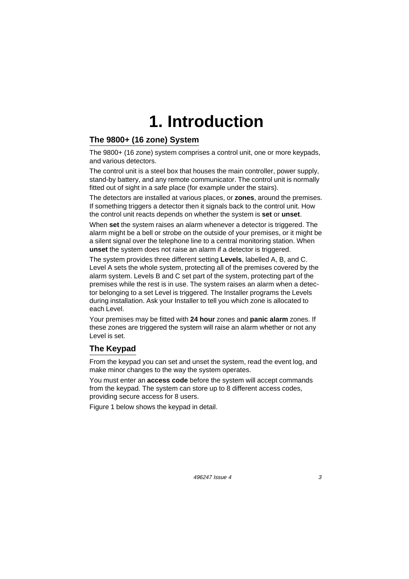## **1. Introduction**

### **The 9800+ (16 zone) System**

The 9800+ (16 zone) system comprises a control unit, one or more keypads, and various detectors.

The control unit is a steel box that houses the main controller, power supply, stand-by battery, and any remote communicator. The control unit is normally fitted out of sight in a safe place (for example under the stairs).

The detectors are installed at various places, or **zones**, around the premises. If something triggers a detector then it signals back to the control unit. How the control unit reacts depends on whether the system is **set** or **unset**.

When **set** the system raises an alarm whenever a detector is triggered. The alarm might be a bell or strobe on the outside of your premises, or it might be a silent signal over the telephone line to a central monitoring station. When **unset** the system does not raise an alarm if a detector is triggered.

The system provides three different setting **Levels**, labelled A, B, and C. Level A sets the whole system, protecting all of the premises covered by the alarm system. Levels B and C set part of the system, protecting part of the premises while the rest is in use. The system raises an alarm when a detector belonging to a set Level is triggered. The Installer programs the Levels during installation. Ask your Installer to tell you which zone is allocated to each Level.

Your premises may be fitted with **24 hour** zones and **panic alarm** zones. If these zones are triggered the system will raise an alarm whether or not any Level is set.

#### **The Keypad**

From the keypad you can set and unset the system, read the event log, and make minor changes to the way the system operates.

You must enter an **access code** before the system will accept commands from the keypad. The system can store up to 8 different access codes, providing secure access for 8 users.

Figure 1 below shows the keypad in detail.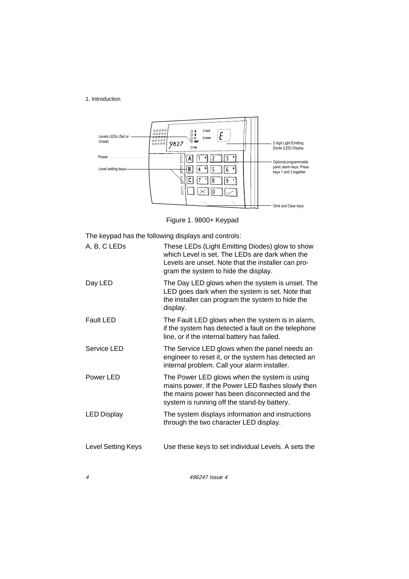#### 1. Introduction



Figure 1. 9800+ Keypad

The keypad has the following displays and controls:

| A, B, C LEDs       | These LEDs (Light Emitting Diodes) glow to show<br>which Level is set. The LEDs are dark when the<br>Levels are unset. Note that the installer can pro-<br>gram the system to hide the display.   |
|--------------------|---------------------------------------------------------------------------------------------------------------------------------------------------------------------------------------------------|
| Day LED            | The Day LED glows when the system is unset. The<br>LED goes dark when the system is set. Note that<br>the installer can program the system to hide the<br>display.                                |
| <b>Fault LED</b>   | The Fault LED glows when the system is in alarm,<br>if the system has detected a fault on the telephone<br>line, or if the internal battery has failed.                                           |
| Service LED        | The Service LED glows when the panel needs an<br>engineer to reset it, or the system has detected an<br>internal problem. Call your alarm installer.                                              |
| Power LED          | The Power LED glows when the system is using<br>mains power. If the Power LED flashes slowly then<br>the mains power has been disconnected and the<br>system is running off the stand-by battery. |
| <b>LED Display</b> | The system displays information and instructions<br>through the two character LED display.                                                                                                        |
| Level Setting Keys | Use these keys to set individual Levels. A sets the                                                                                                                                               |

4 496247 Issue 4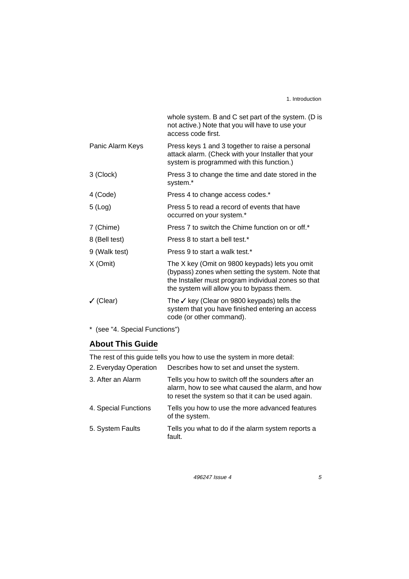1. Introduction

|                      | whole system. B and C set part of the system. (D is<br>not active.) Note that you will have to use your<br>access code first.                                                                           |
|----------------------|---------------------------------------------------------------------------------------------------------------------------------------------------------------------------------------------------------|
| Panic Alarm Keys     | Press keys 1 and 3 together to raise a personal<br>attack alarm. (Check with your Installer that your<br>system is programmed with this function.)                                                      |
| 3 (Clock)            | Press 3 to change the time and date stored in the<br>system.*                                                                                                                                           |
| 4 (Code)             | Press 4 to change access codes.*                                                                                                                                                                        |
| $5$ (Log)            | Press 5 to read a record of events that have<br>occurred on your system.*                                                                                                                               |
| 7 (Chime)            | Press 7 to switch the Chime function on or off.*                                                                                                                                                        |
| 8 (Bell test)        | Press 8 to start a bell test.*                                                                                                                                                                          |
| 9 (Walk test)        | Press 9 to start a walk test.*                                                                                                                                                                          |
| X (Omit)             | The X key (Omit on 9800 keypads) lets you omit<br>(bypass) zones when setting the system. Note that<br>the Installer must program individual zones so that<br>the system will allow you to bypass them. |
| $\checkmark$ (Clear) | The $\checkmark$ key (Clear on 9800 keypads) tells the<br>system that you have finished entering an access<br>code (or other command).                                                                  |
|                      |                                                                                                                                                                                                         |

\* (see "4. Special Functions")

## **About This Guide**

The rest of this guide tells you how to use the system in more detail:

| Describes how to set and unset the system.                                                                                                                 |
|------------------------------------------------------------------------------------------------------------------------------------------------------------|
| Tells you how to switch off the sounders after an<br>alarm, how to see what caused the alarm, and how<br>to reset the system so that it can be used again. |
| Tells you how to use the more advanced features<br>of the system.                                                                                          |
| Tells you what to do if the alarm system reports a<br>fault.                                                                                               |
|                                                                                                                                                            |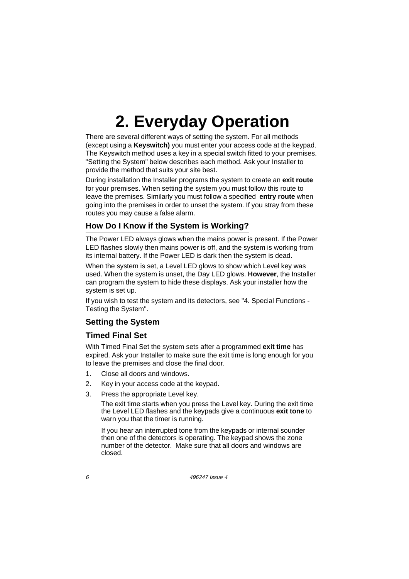There are several different ways of setting the system. For all methods (except using a **Keyswitch)** you must enter your access code at the keypad. The Keyswitch method uses a key in a special switch fitted to your premises. "Setting the System" below describes each method. Ask your Installer to provide the method that suits your site best.

During installation the Installer programs the system to create an **exit route** for your premises. When setting the system you must follow this route to leave the premises. Similarly you must follow a specified **entry route** when going into the premises in order to unset the system. If you stray from these routes you may cause a false alarm.

## **How Do I Know if the System is Working?**

The Power LED always glows when the mains power is present. If the Power LED flashes slowly then mains power is off, and the system is working from its internal battery. If the Power LED is dark then the system is dead.

When the system is set, a Level LED glows to show which Level key was used. When the system is unset, the Day LED glows. **However**, the Installer can program the system to hide these displays. Ask your installer how the system is set up.

If you wish to test the system and its detectors, see "4. Special Functions - Testing the System".

## **Setting the System**

#### **Timed Final Set**

With Timed Final Set the system sets after a programmed **exit time** has expired. Ask your Installer to make sure the exit time is long enough for you to leave the premises and close the final door.

- 1. Close all doors and windows.
- 2. Key in your access code at the keypad.
- 3. Press the appropriate Level key.

The exit time starts when you press the Level key. During the exit time the Level LED flashes and the keypads give a continuous **exit tone** to warn you that the timer is running.

If you hear an interrupted tone from the keypads or internal sounder then one of the detectors is operating. The keypad shows the zone number of the detector. Make sure that all doors and windows are closed.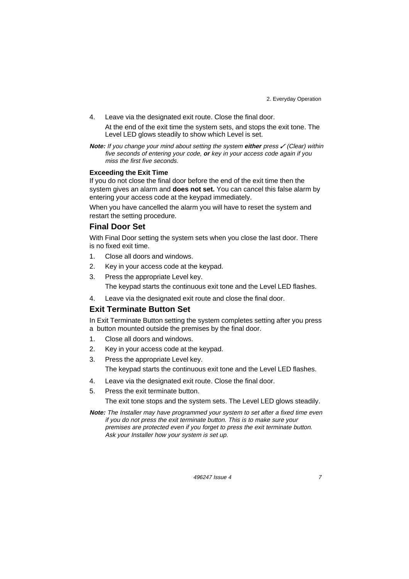4. Leave via the designated exit route. Close the final door.

At the end of the exit time the system sets, and stops the exit tone. The Level LED glows steadily to show which Level is set.

**Note:** If you change your mind about setting the system either press  $\checkmark$  (Clear) within five seconds of entering your code, **or** key in your access code again if you miss the first five seconds.

#### **Exceeding the Exit Time**

If you do not close the final door before the end of the exit time then the system gives an alarm and **does not set.** You can cancel this false alarm by entering your access code at the keypad immediately.

When you have cancelled the alarm you will have to reset the system and restart the setting procedure.

#### **Final Door Set**

With Final Door setting the system sets when you close the last door. There is no fixed exit time.

- 1. Close all doors and windows.
- 2. Key in your access code at the keypad.
- 3. Press the appropriate Level key. The keypad starts the continuous exit tone and the Level LED flashes.
- 4. Leave via the designated exit route and close the final door.

#### **Exit Terminate Button Set**

In Exit Terminate Button setting the system completes setting after you press a button mounted outside the premises by the final door.

- 1. Close all doors and windows.
- 2. Key in your access code at the keypad.
- 3. Press the appropriate Level key. The keypad starts the continuous exit tone and the Level LED flashes.
- 4. Leave via the designated exit route. Close the final door.
- 5. Press the exit terminate button.

The exit tone stops and the system sets. The Level LED glows steadily.

**Note:** The Installer may have programmed your system to set after a fixed time even if you do not press the exit terminate button. This is to make sure your premises are protected even if you forget to press the exit terminate button. Ask your Installer how your system is set up.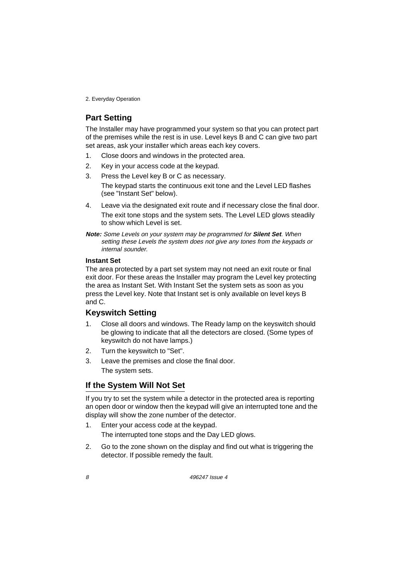## **Part Setting**

The Installer may have programmed your system so that you can protect part of the premises while the rest is in use. Level keys B and C can give two part set areas, ask your installer which areas each key covers.

- 1. Close doors and windows in the protected area.
- 2. Key in your access code at the keypad.
- 3. Press the Level key B or C as necessary. The keypad starts the continuous exit tone and the Level LED flashes (see "Instant Set" below).
- 4. Leave via the designated exit route and if necessary close the final door. The exit tone stops and the system sets. The Level LED glows steadily to show which Level is set.

**Note:** Some Levels on your system may be programmed for **Silent Set**. When setting these Levels the system does not give any tones from the keypads or internal sounder.

#### **Instant Set**

The area protected by a part set system may not need an exit route or final exit door. For these areas the Installer may program the Level key protecting the area as Instant Set. With Instant Set the system sets as soon as you press the Level key. Note that Instant set is only available on level keys B and C.

#### **Keyswitch Setting**

- 1. Close all doors and windows. The Ready lamp on the keyswitch should be glowing to indicate that all the detectors are closed. (Some types of keyswitch do not have lamps.)
- 2. Turn the keyswitch to "Set".
- 3. Leave the premises and close the final door. The system sets.

## **If the System Will Not Set**

If you try to set the system while a detector in the protected area is reporting an open door or window then the keypad will give an interrupted tone and the display will show the zone number of the detector.

- 1. Enter your access code at the keypad. The interrupted tone stops and the Day LED glows.
- 2. Go to the zone shown on the display and find out what is triggering the detector. If possible remedy the fault.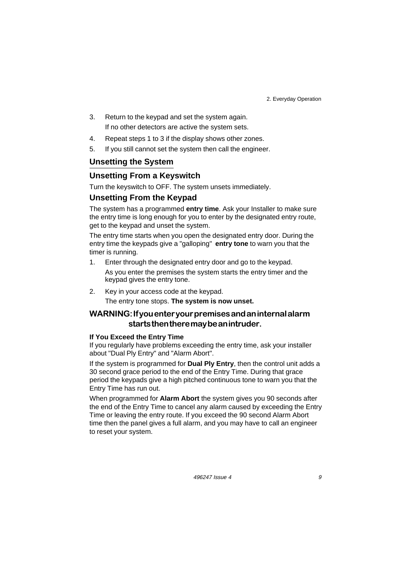- 3. Return to the keypad and set the system again. If no other detectors are active the system sets.
- 4. Repeat steps 1 to 3 if the display shows other zones.
- 5. If you still cannot set the system then call the engineer.

#### **Unsetting the System**

### **Unsetting From a Keyswitch**

Turn the keyswitch to OFF. The system unsets immediately.

#### **Unsetting From the Keypad**

The system has a programmed **entry time**. Ask your Installer to make sure the entry time is long enough for you to enter by the designated entry route, get to the keypad and unset the system.

The entry time starts when you open the designated entry door. During the entry time the keypads give a "galloping" **entry tone** to warn you that the timer is running.

- 1. Enter through the designated entry door and go to the keypad. As you enter the premises the system starts the entry timer and the keypad gives the entry tone.
- 2. Key in your access code at the keypad. The entry tone stops. **The system is now unset.**

## WARNING: If you enter your premises and an internal alarm starts then there may be an intruder.

#### **If You Exceed the Entry Time**

If you regularly have problems exceeding the entry time, ask your installer about "Dual Ply Entry" and "Alarm Abort".

If the system is programmed for **Dual Ply Entry**, then the control unit adds a 30 second grace period to the end of the Entry Time. During that grace period the keypads give a high pitched continuous tone to warn you that the Entry Time has run out.

When programmed for **Alarm Abort** the system gives you 90 seconds after the end of the Entry Time to cancel any alarm caused by exceeding the Entry Time or leaving the entry route. If you exceed the 90 second Alarm Abort time then the panel gives a full alarm, and you may have to call an engineer to reset your system.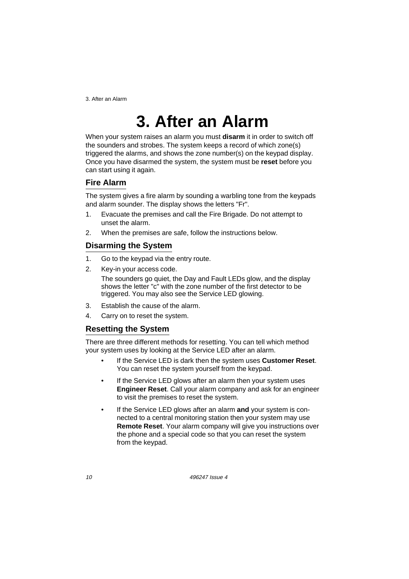3. After an Alarm

## **3. After an Alarm**

When your system raises an alarm you must **disarm** it in order to switch off the sounders and strobes. The system keeps a record of which zone(s) triggered the alarms, and shows the zone number(s) on the keypad display. Once you have disarmed the system, the system must be **reset** before you can start using it again.

### **Fire Alarm**

The system gives a fire alarm by sounding a warbling tone from the keypads and alarm sounder. The display shows the letters "Fr".

- 1. Evacuate the premises and call the Fire Brigade. Do not attempt to unset the alarm.
- 2. When the premises are safe, follow the instructions below.

## **Disarming the System**

- 1. Go to the keypad via the entry route.
- 2. Key-in your access code.

The sounders go quiet, the Day and Fault LEDs glow, and the display shows the letter "c" with the zone number of the first detector to be triggered. You may also see the Service LED glowing.

- 3. Establish the cause of the alarm.
- 4. Carry on to reset the system.

## **Resetting the System**

There are three different methods for resetting. You can tell which method your system uses by looking at the Service LED after an alarm.

- If the Service LED is dark then the system uses **Customer Reset**. You can reset the system yourself from the keypad.
- If the Service LED glows after an alarm then your system uses **Engineer Reset**. Call your alarm company and ask for an engineer to visit the premises to reset the system.
- If the Service LED glows after an alarm **and** your system is connected to a central monitoring station then your system may use **Remote Reset**. Your alarm company will give you instructions over the phone and a special code so that you can reset the system from the keypad.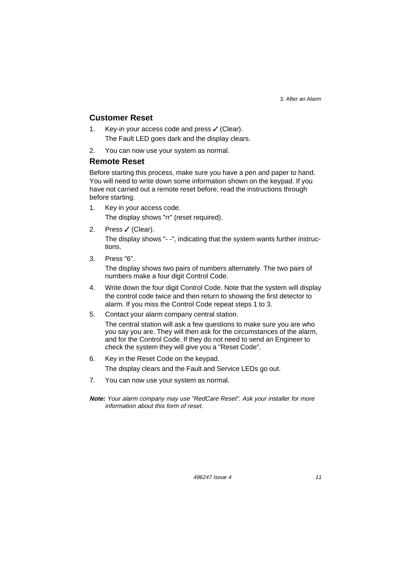3. After an Alarm

#### **Customer Reset**

- 1. Key-in your access code and press  $\checkmark$  (Clear). The Fault LED goes dark and the display clears.
- 2. You can now use your system as normal.

#### **Remote Reset**

Before starting this process, make sure you have a pen and paper to hand. You will need to write down some information shown on the keypad. If you have not carried out a remote reset before, read the instructions through before starting.

- 1. Key in your access code. The display shows "rr" (reset required).
- 2. Press ✓ (Clear).

The display shows "- -", indicating that the system wants further instructions.

3. Press "6".

The display shows two pairs of numbers alternately. The two pairs of numbers make a four digit Control Code.

- 4. Write down the four digit Control Code. Note that the system will display the control code twice and then return to showing the first detector to alarm. If you miss the Control Code repeat steps 1 to 3.
- 5. Contact your alarm company central station.

The central station will ask a few questions to make sure you are who you say you are. They will then ask for the circumstances of the alarm, and for the Control Code. If they do not need to send an Engineer to check the system they will give you a "Reset Code".

- 6. Key in the Reset Code on the keypad. The display clears and the Fault and Service LEDs go out.
- 7. You can now use your system as normal.
- **Note:** Your alarm company may use "RedCare Reset". Ask your installer for more information about this form of reset.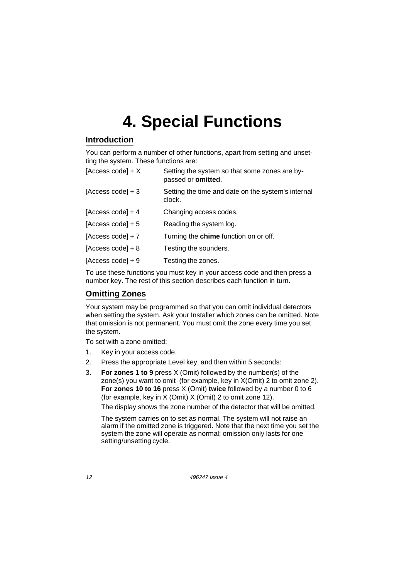## **Introduction**

You can perform a number of other functions, apart from setting and unsetting the system. These functions are:

| [Access code] $+ X$ | Setting the system so that some zones are by-<br>passed or omitted. |
|---------------------|---------------------------------------------------------------------|
| [Access code] $+3$  | Setting the time and date on the system's internal<br>clock.        |
| [Access code] $+4$  | Changing access codes.                                              |
| [Access code] $+5$  | Reading the system log.                                             |
| [Access code] $+ 7$ | Turning the chime function on or off.                               |
| $[Access code] + 8$ | Testing the sounders.                                               |
| [Access code] $+9$  | Testing the zones.                                                  |
|                     |                                                                     |

To use these functions you must key in your access code and then press a number key. The rest of this section describes each function in turn.

### **Omitting Zones**

Your system may be programmed so that you can omit individual detectors when setting the system. Ask your Installer which zones can be omitted. Note that omission is not permanent. You must omit the zone every time you set the system.

To set with a zone omitted:

- 1. Key in your access code.
- 2. Press the appropriate Level key, and then within 5 seconds:
- 3. **For zones 1 to 9** press X (Omit) followed by the number(s) of the zone(s) you want to omit (for example, key in X(Omit) 2 to omit zone 2). **For zones 10 to 16** press X (Omit) **twice** followed by a number 0 to 6 (for example, key in X (Omit) X (Omit) 2 to omit zone 12).

The display shows the zone number of the detector that will be omitted.

The system carries on to set as normal. The system will not raise an alarm if the omitted zone is triggered. Note that the next time you set the system the zone will operate as normal; omission only lasts for one setting/unsetting cycle.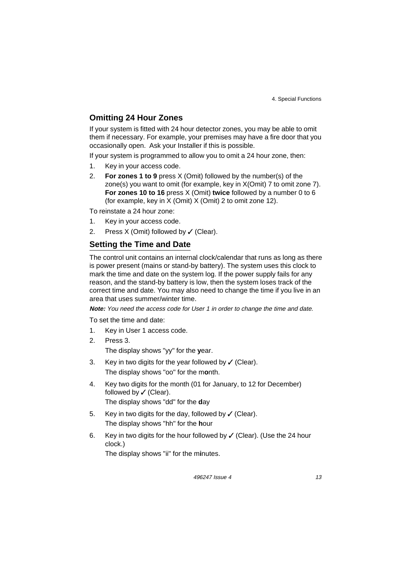### **Omitting 24 Hour Zones**

If your system is fitted with 24 hour detector zones, you may be able to omit them if necessary. For example, your premises may have a fire door that you occasionally open. Ask your Installer if this is possible.

If your system is programmed to allow you to omit a 24 hour zone, then:

- 1. Key in your access code.
- 2. **For zones 1 to 9** press X (Omit) followed by the number(s) of the zone(s) you want to omit (for example, key in X(Omit) 7 to omit zone 7). **For zones 10 to 16** press X (Omit) **twice** followed by a number 0 to 6 (for example, key in X (Omit) X (Omit) 2 to omit zone 12).

To reinstate a 24 hour zone:

- 1. Key in your access code.
- 2. Press  $X$  (Omit) followed by  $\checkmark$  (Clear).

#### **Setting the Time and Date**

The control unit contains an internal clock/calendar that runs as long as there is power present (mains or stand-by battery). The system uses this clock to mark the time and date on the system log. If the power supply fails for any reason, and the stand-by battery is low, then the system loses track of the correct time and date. You may also need to change the time if you live in an area that uses summer/winter time.

**Note:** You need the access code for User 1 in order to change the time and date.

To set the time and date:

- 1. Key in User 1 access code.
- 2. Press 3. The display shows "yy" for the **y**ear.
- 3. Key in two digits for the year followed by  $\checkmark$  (Clear). The display shows "oo" for the m**o**nth.
- 4. Key two digits for the month (01 for January, to 12 for December) followed by  $\checkmark$  (Clear). The display shows "dd" for the **d**ay
- 5. Key in two digits for the day, followed by  $\checkmark$  (Clear). The display shows "hh" for the **h**our
- 6. Key in two digits for the hour followed by  $\checkmark$  (Clear). (Use the 24 hour clock.)

The display shows "ii" for the m**i**nutes.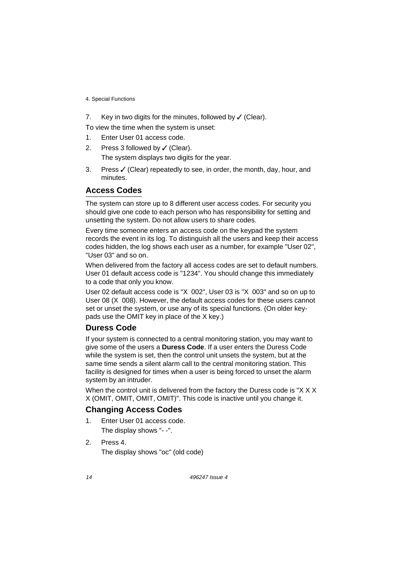7. Key in two digits for the minutes, followed by  $\checkmark$  (Clear).

To view the time when the system is unset:

- 1. Enter User 01 access code.
- 2. Press 3 followed by  $\checkmark$  (Clear). The system displays two digits for the year.
- 3. Press  $\checkmark$  (Clear) repeatedly to see, in order, the month, day, hour, and minutes.

### **Access Codes**

The system can store up to 8 different user access codes. For security you should give one code to each person who has responsibility for setting and unsetting the system. Do not allow users to share codes.

Every time someone enters an access code on the keypad the system records the event in its log. To distinguish all the users and keep their access codes hidden, the log shows each user as a number, for example "User 02", "User 03" and so on.

When delivered from the factory all access codes are set to default numbers. User 01 default access code is "1234". You should change this immediately to a code that only you know.

User 02 default access code is "X 002", User 03 is "X 003" and so on up to User 08 (X 008). However, the default access codes for these users cannot set or unset the system, or use any of its special functions. (On older keypads use the OMIT key in place of the X key.)

#### **Duress Code**

If your system is connected to a central monitoring station, you may want to give some of the users a **Duress Code**. If a user enters the Duress Code while the system is set, then the control unit unsets the system, but at the same time sends a silent alarm call to the central monitoring station. This facility is designed for times when a user is being forced to unset the alarm system by an intruder.

When the control unit is delivered from the factory the Duress code is "X X X X (OMIT, OMIT, OMIT, OMIT)". This code is inactive until you change it.

#### **Changing Access Codes**

- 1. Enter User 01 access code. The display shows "- -".
- 2. Press 4. The display shows "oc" (old code)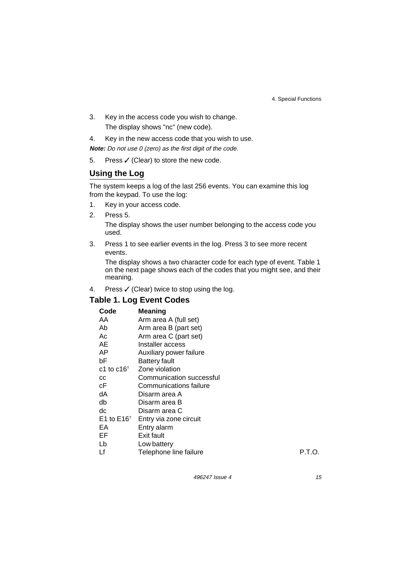- 3. Key in the access code you wish to change. The display shows "nc" (new code).
- 4. Key in the new access code that you wish to use.

**Note:** Do not use 0 (zero) as the first digit of the code.

5. Press  $\checkmark$  (Clear) to store the new code.

## **Using the Log**

The system keeps a log of the last 256 events. You can examine this log from the keypad. To use the log:

- 1. Key in your access code.
- 2. Press 5. The display shows the user number belonging to the access code you used.
- 3. Press 1 to see earlier events in the log. Press 3 to see more recent events.

The display shows a two character code for each type of event. Table 1 on the next page shows each of the codes that you might see, and their meaning.

4. Press  $\checkmark$  (Clear) twice to stop using the log.

#### **Table 1. Log Event Codes**

#### **Code Meaning**

| AA.                   | Arm area A (full set)    |        |
|-----------------------|--------------------------|--------|
| Ab                    | Arm area B (part set)    |        |
| Ac                    | Arm area C (part set)    |        |
| AE                    | Installer access         |        |
| AP                    | Auxiliary power failure  |        |
| bF                    | <b>Battery fault</b>     |        |
| c1 to $c16^{\dagger}$ | Zone violation           |        |
| CC                    | Communication successful |        |
| сF                    | Communications failure   |        |
| dA                    | Disarm area A            |        |
| db                    | Disarm area B            |        |
| dc                    | Disarm area C            |        |
| E1 to $E16^{\dagger}$ | Entry via zone circuit   |        |
| EA.                   | Entry alarm              |        |
| EF                    | Exit fault               |        |
| Lb                    | Low battery              |        |
| Lf                    | Telephone line failure   | P.T.O. |
|                       |                          |        |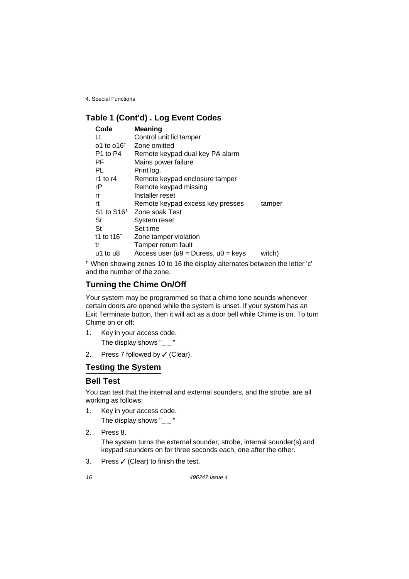## **Table 1 (Cont'd) . Log Event Codes**

| Code<br>Lt<br>o1 to o16 <sup><math>\dagger</math></sup><br>P1 to P4<br>РF<br>PL<br>r1 to $r4$<br>rP<br>rr | Meaning<br>Control unit lid tamper<br>Zone omitted<br>Remote keypad dual key PA alarm<br>Mains power failure<br>Print log.<br>Remote keypad enclosure tamper<br>Remote keypad missing<br>Installer reset |                  |
|-----------------------------------------------------------------------------------------------------------|----------------------------------------------------------------------------------------------------------------------------------------------------------------------------------------------------------|------------------|
| rt<br>$S1$ to $S16†$<br>Sr<br><b>St</b><br>t1 to t16 <sup><math>\dagger</math></sup><br>tr<br>u1 to u8    | Remote keypad excess key presses<br>Zone soak Test<br>System reset<br>Set time<br>Zone tamper violation<br>Tamper return fault<br>Access user ( $u9 = Dures$ , $u0 = keys$                               | tamper<br>witch) |

† When showing zones 10 to 16 the display alternates between the letter 'c' and the number of the zone.

## **Turning the Chime On/Off**

Your system may be programmed so that a chime tone sounds whenever certain doors are opened while the system is unset. If your system has an Exit Terminate button, then it will act as a door bell while Chime is on. To turn Chime on or off:

- 1. Key in your access code. The display shows " $_{--}$ "
- 2. Press 7 followed by  $\checkmark$  (Clear).

## **Testing the System**

#### **Bell Test**

You can test that the internal and external sounders, and the strobe, are all working as follows:

- 1. Key in your access code. The display shows " $_ -$ "
- 2. Press 8. The system turns the external sounder, strobe, internal sounder(s) and keypad sounders on for three seconds each, one after the other.
- 3. Press  $\checkmark$  (Clear) to finish the test.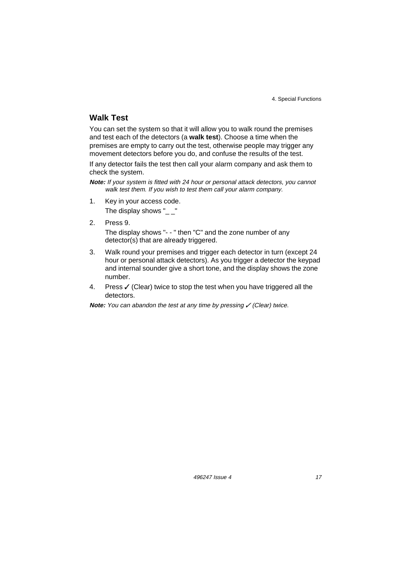### **Walk Test**

You can set the system so that it will allow you to walk round the premises and test each of the detectors (a **walk test**). Choose a time when the premises are empty to carry out the test, otherwise people may trigger any movement detectors before you do, and confuse the results of the test.

If any detector fails the test then call your alarm company and ask them to check the system.

**Note:** If your system is fitted with 24 hour or personal attack detectors, you cannot walk test them. If you wish to test them call your alarm company.

1. Key in your access code.

The display shows " $\_$ "

2. Press 9.

The display shows "- - " then "C" and the zone number of any detector(s) that are already triggered.

- 3. Walk round your premises and trigger each detector in turn (except 24 hour or personal attack detectors). As you trigger a detector the keypad and internal sounder give a short tone, and the display shows the zone number.
- 4. Press  $\checkmark$  (Clear) twice to stop the test when you have triggered all the detectors.

**Note:** You can abandon the test at any time by pressing  $\checkmark$  (Clear) twice.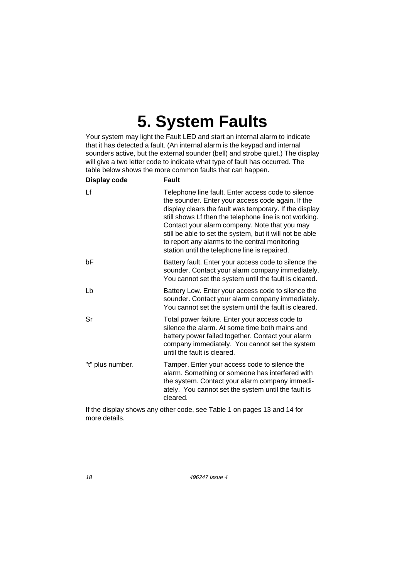## **5. System Faults**

Your system may light the Fault LED and start an internal alarm to indicate that it has detected a fault. (An internal alarm is the keypad and internal sounders active, but the external sounder (bell) and strobe quiet.) The display will give a two letter code to indicate what type of fault has occurred. The table below shows the more common faults that can happen.

| Display code     | <b>Fault</b>                                                                                                                                                                                                                                                                                                                                                                                                                                |
|------------------|---------------------------------------------------------------------------------------------------------------------------------------------------------------------------------------------------------------------------------------------------------------------------------------------------------------------------------------------------------------------------------------------------------------------------------------------|
| Lf               | Telephone line fault. Enter access code to silence<br>the sounder. Enter your access code again. If the<br>display clears the fault was temporary. If the display<br>still shows Lf then the telephone line is not working.<br>Contact your alarm company. Note that you may<br>still be able to set the system, but it will not be able<br>to report any alarms to the central monitoring<br>station until the telephone line is repaired. |
| bF               | Battery fault. Enter your access code to silence the<br>sounder. Contact your alarm company immediately.<br>You cannot set the system until the fault is cleared.                                                                                                                                                                                                                                                                           |
| Lb               | Battery Low. Enter your access code to silence the<br>sounder. Contact your alarm company immediately.<br>You cannot set the system until the fault is cleared.                                                                                                                                                                                                                                                                             |
| Sr               | Total power failure. Enter your access code to<br>silence the alarm. At some time both mains and<br>battery power failed together. Contact your alarm<br>company immediately. You cannot set the system<br>until the fault is cleared.                                                                                                                                                                                                      |
| "t" plus number. | Tamper. Enter your access code to silence the<br>alarm. Something or someone has interfered with<br>the system. Contact your alarm company immedi-<br>ately. You cannot set the system until the fault is<br>cleared.                                                                                                                                                                                                                       |

If the display shows any other code, see Table 1 on pages 13 and 14 for more details.

18 496247 Issue 4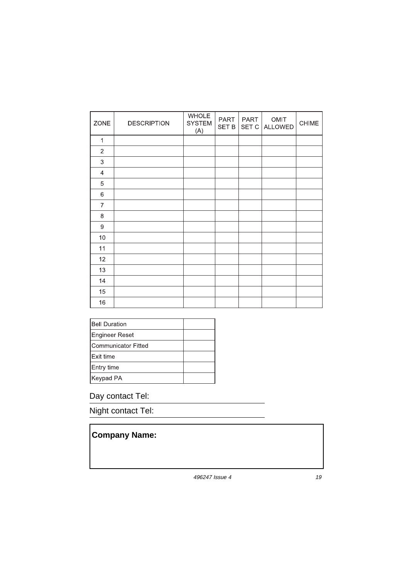| ZONE             | <b>DESCRIPTION</b> | <b>WHOLE</b><br><b>SYSTEM</b><br>(A) | PART<br><b>SET B</b> | PART<br>SET C | OMIT<br><b>ALLOWED</b> | CHIME |
|------------------|--------------------|--------------------------------------|----------------------|---------------|------------------------|-------|
| 1                |                    |                                      |                      |               |                        |       |
| $\overline{2}$   |                    |                                      |                      |               |                        |       |
| $\sqrt{3}$       |                    |                                      |                      |               |                        |       |
| 4                |                    |                                      |                      |               |                        |       |
| 5                |                    |                                      |                      |               |                        |       |
| $\,6$            |                    |                                      |                      |               |                        |       |
| 7                |                    |                                      |                      |               |                        |       |
| 8                |                    |                                      |                      |               |                        |       |
| $\boldsymbol{9}$ |                    |                                      |                      |               |                        |       |
| 10               |                    |                                      |                      |               |                        |       |
| 11               |                    |                                      |                      |               |                        |       |
| 12               |                    |                                      |                      |               |                        |       |
| 13               |                    |                                      |                      |               |                        |       |
| 14               |                    |                                      |                      |               |                        |       |
| 15               |                    |                                      |                      |               |                        |       |
| 16               |                    |                                      |                      |               |                        |       |

| <b>Bell Duration</b> |  |
|----------------------|--|
| Engineer Reset       |  |
| Communicator Fitted  |  |
| <b>Exit time</b>     |  |
| Entry time           |  |
| Keypad PA            |  |

## Day contact Tel:

Night contact Tel:

## **Company Name:**